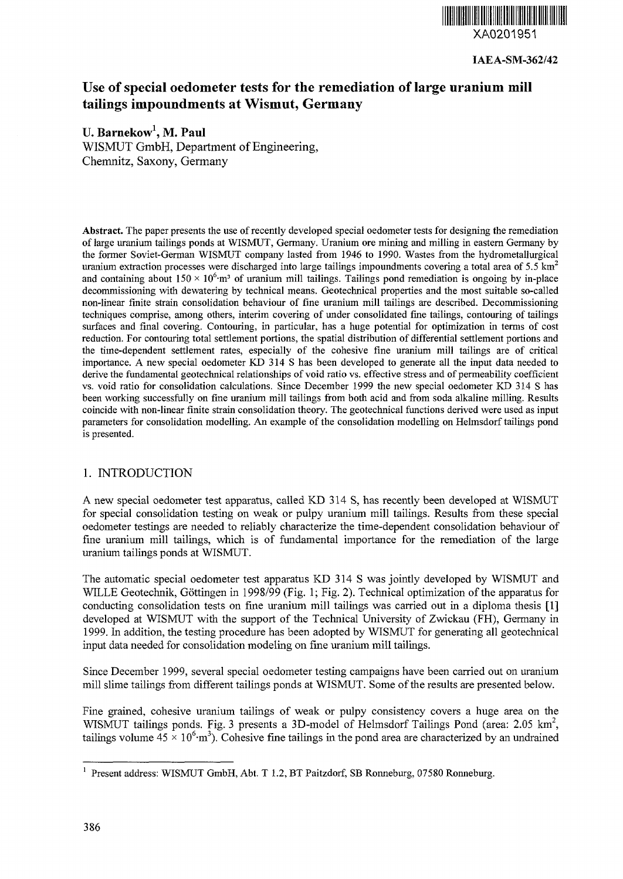

IAEA-SM-362/42

# Use of special oedometer tests for the remediation of large uranium mill tailings impoundments at Wismut, Germany

# U. **Barnekow<sup>1</sup> , M. Paul**

WISMUT GmbH, Department of Engineering, Chemnitz, Saxony, Germany

Abstract. The paper presents the use of recently developed special oedometer tests for designing the remediation of large uranium tailings ponds at WISMUT, Germany. Uranium ore mining and milling in eastern Germany by the former Soviet-German WISMUT company lasted from 1946 to 1990. Wastes from the hydrometallurgical uranium extraction processes were discharged into large tailings impoundments covering a total area of 5.5  $\text{km}^2$ and containing about  $150 \times 10^6$  m<sup>3</sup> of uranium mill tailings. Tailings pond remediation is ongoing by in-place decommissioning with dewatering by technical means. Geotechnical properties and the most suitable so-called non-linear finite strain consolidation behaviour of fine uranium mill tailings are described. Decommissioning techniques comprise, among others, interim covering of under consolidated fine tailings, contouring of tailings surfaces and final covering. Contouring, in particular, has a huge potential for optimization in terms of cost reduction. For contouring total settlement portions, the spatial distribution of differential settlement portions and the time-dependent settlement rates, especially of the cohesive fine uranium mill tailings are of critical importance. A new special oedometer KD 314 S has been developed to generate all the input data needed to derive the fundamental geotechnical relationships of void ratio vs. effective stress and of permeability coefficient vs. void ratio for consolidation calculations. Since December 1999 the new special oedometer KD 314 S has been working successfully on fine uranium mill tailings from both acid and from soda alkaline milling. Results coincide with non-linear finite strain consolidation theory. The geotechnical functions derived were used as input parameters for consolidation modelling. An example of the consolidation modelling on Helmsdorf tailings pond is presented.

# 1. INTRODUCTION

A new special oedometer test apparatus, called KD 314 S, has recently been developed at WISMUT for special consolidation testing on weak or pulpy uranium mill tailings. Results from these special oedometer testings are needed to reliably characterize the time-dependent consolidation behaviour of fine uranium mill tailings, which is of fundamental importance for the remediation of the large uranium tailings ponds at WISMUT.

The automatic special oedometer test apparatus KD 314 S was jointly developed by WISMUT and WILLE Geotechnik, Göttingen in 1998/99 (Fig. 1; Fig. 2). Technical optimization of the apparatus for conducting consolidation tests on fine uranium mill tailings was carried out in a diploma thesis [1] developed at WISMUT with the support of the Technical University of Zwickau (FH), Germany in 1999. In addition, the testing procedure has been adopted by WISMUT for generating all geotechnical input data needed for consolidation modeling on fine uranium mill tailings.

Since December 1999, several special oedometer testing campaigns have been carried out on uranium mill slime tailings from different tailings ponds at WISMUT. Some of the results are presented below.

Fine grained, cohesive uranium tailings of weak or pulpy consistency covers a huge area on the WISMUT tailings ponds. Fig. 3 presents a 3D-model of Helmsdorf Tailings Pond (area: 2.05  $km^2$ , tailings volume  $45 \times 10^6$ ·m<sup>3</sup>). Cohesive fine tailings in the pond area are characterized by an undrained

<sup>&</sup>lt;sup>1</sup> Present address: WISMUT GmbH, Abt. T 1.2, BT Paitzdorf, SB Ronneburg, 07580 Ronneburg.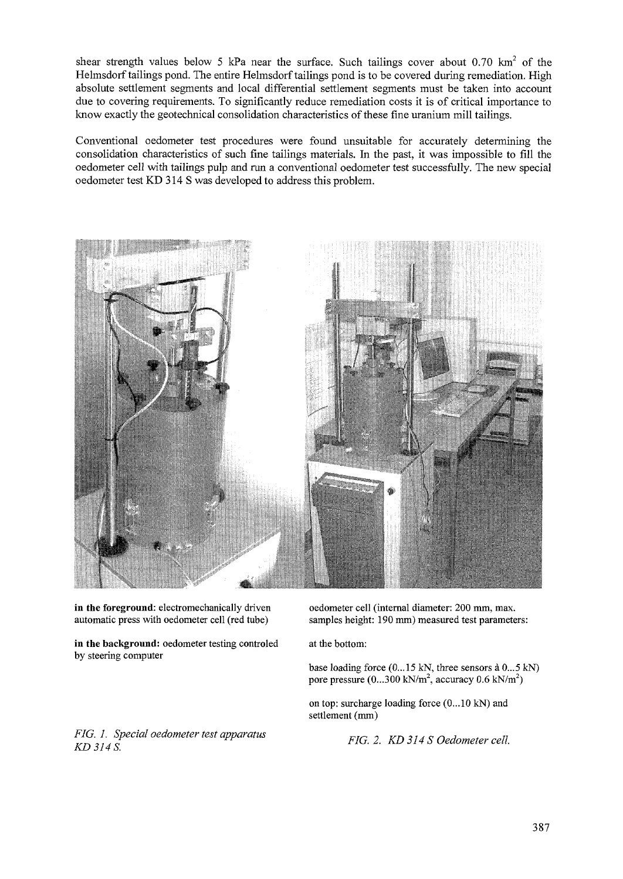shear strength values below 5 kPa near the surface. Such tailings cover about 0.70 km<sup>2</sup> of the Helmsdorf tailings pond. The entire Helmsdorf tailings pond is to be covered during remediation. High absolute settlement segments and local differential settlement segments must be taken into account due to covering requirements. To significantly reduce remediation costs it is of critical importance to know exactly the geotechnical consolidation characteristics of these fine uranium mill tailings.

Conventional oedometer test procedures were found unsuitable for accurately determining the consolidation characteristics of such fine tailings materials. In the past, it was impossible to fill the oedometer cell with tailings pulp and run a conventional oedometer test successfully. The new special oedometer test KD 314 S was developed to address this problem.



in the foreground: electromechanically driven automatic press with oedometer cell (red tube)

in the background: oedometer testing controled by steering computer

oedometer cell (internal diameter: 200 mm, max. samples height: 190 mm) measured test parameters:

at the bottom:

base loading force (0...15 kN, three sensors à 0...5 kN) pore pressure  $(0...300 \text{ kN/m}^2, \text{ accuracy } 0.6 \text{ kN/m}^2)$ 

on top: surcharge loading force (0...10 kN) and settlement (mm)

*FIG. 2. KD314S Oedometer cell.*

*FIG. 1. Special oedometer test apparatus KD 314 S.*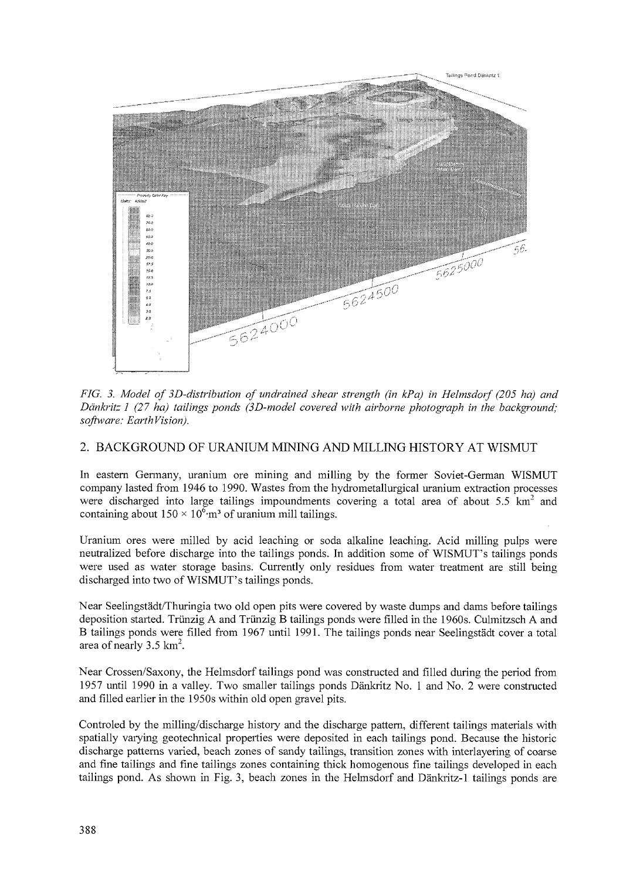

*FIG. 3. Model of SD-distribution of undrained shear strength (in kPa) in Helmsdorf (205 ha) and Dankritz 1 (27 ha) tailings ponds (3D-modeI covered with airborne photograph in the background; software: EarthVision).*

# *2.* BACKGROUND OF URANIUM MINING AND MILLING HISTORY AT WISMUT

In eastern Germany, uranium ore mining and milling by the former Soviet-German WISMUT company lasted from 1946 to 1990. Wastes from the hydrometallurgical uranium extraction processes were discharged into large tailings impoundments covering a total area of about  $5.5 \text{ km}^2$  and containing about  $150 \times 10^6$ ·m<sup>3</sup> of uranium mill tailings.

Uranium ores were milled by acid leaching or soda alkaline leaching. Acid milling pulps were neutralized before discharge into the tailings ponds. In addition some of WISMUT's tailings ponds were used as water storage basins. Currently only residues from water treatment are still being discharged into two of WISMUT's tailings ponds.

Near Seelingstadt/Thuringia two old open pits were covered by waste dumps and dams before tailings deposition started. Triinzig A and Triinzig B tailings ponds were filled in the 1960s. Culmitzsch A and B tailings ponds were filled from 1967 until 1991. The tailings ponds near Seelingstädt cover a total area of nearly  $3.5 \text{ km}^2$ .

Near Crossen/Saxony, the Helmsdorf tailings pond was constructed and filled during the period from 1957 until 1990 in a valley. Two smaller tailings ponds Dankritz No. 1 and No. 2 were constructed and filled earlier in the 1950s within old open gravel pits.

Controled by the milling/discharge history and the discharge pattern, different tailings materials with spatially varying geotechnical properties were deposited in each tailings pond. Because the historic discharge patterns varied, beach zones of sandy tailings, transition zones with interlayering of coarse and fine tailings and fine tailings zones containing thick homogenous fine tailings developed in each tailings pond. As shown in Fig. 3, beach zones in the Helmsdorf and Dankritz-1 tailings ponds are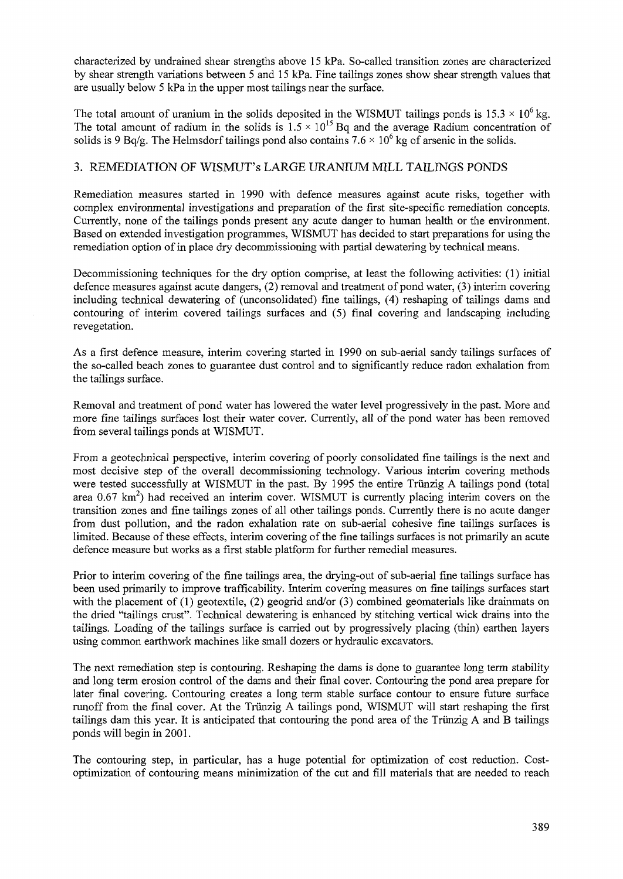characterized by undrained shear strengths above 15 kPa. So-called transition zones are characterized by shear strength variations between 5 and 15 kPa. Fine tailings zones show shear strength values that are usually below 5 kPa in the upper most tailings near the surface.

The total amount of uranium in the solids deposited in the WISMUT tailings ponds is  $15.3 \times 10^6$  kg. The total amount of radium in the solids is  $1.5 \times 10^{15}$  Bq and the average Radium concentration of solids is 9 Bq/g. The Helmsdorf tailings pond also contains 7.6  $\times$  10<sup>6</sup> kg of arsenic in the solids.

#### 3. REMEDIATION OF WISMUT's LARGE URANIUM MILL TAILINGS PONDS

Remediation measures started in 1990 with defence measures against acute risks, together with complex environmental investigations and preparation of the first site-specific remediation concepts. Currently, none of the tailings ponds present any acute danger to human health or the environment. Based on extended investigation programmes, WISMUT has decided to start preparations for using the remediation option of in place dry decommissioning with partial dewatering by technical means.

Decommissioning techniques for the dry option comprise, at least the following activities: (1) initial defence measures against acute dangers, (2) removal and treatment of pond water, (3) interim covering including technical dewatering of (unconsolidated) fine tailings, (4) reshaping of tailings dams and contouring of interim covered tailings surfaces and (5) final covering and landscaping including revegetation.

As a first defence measure, interim covering started in 1990 on sub-aerial sandy tailings surfaces of the so-called beach zones to guarantee dust control and to significantly reduce radon exhalation from the tailings surface.

Removal and treatment of pond water has lowered the water level progressively in the past. More and more fine tailings surfaces lost their water cover. Currently, all of the pond water has been removed from several tailings ponds at WISMUT.

From a geotechnical perspective, interim covering of poorly consolidated fine tailings is the next and most decisive step of the overall decommissioning technology. Various interim covering methods were tested successfully at WISMUT in the past. By 1995 the entire Triinzig A tailings pond (total area 0.67 km<sup>2</sup>) had received an interim cover. WISMUT is currently placing interim covers on the transition zones and fine tailings zones of all other tailings ponds. Currently there is no acute danger from dust pollution, and the radon exhalation rate on sub-aerial cohesive fine tailings surfaces is limited. Because of these effects, interim covering of the fine tailings surfaces is not primarily an acute defence measure but works as a first stable platform for further remedial measures.

Prior to interim covering of the fine tailings area, the drying-out of sub-aerial fine tailings surface has been used primarily to improve trafficability. Interim covering measures on fine tailings surfaces start with the placement of (1) geotextile, (2) geogrid and/or (3) combined geomaterials like drainmats on the dried "tailings crust". Technical dewatering is enhanced by stitching vertical wick drains into the tailings. Loading of the tailings surface is carried out by progressively placing (thin) earthen layers using common earthwork machines like small dozers or hydraulic excavators.

The next remediation step is contouring. Reshaping the dams *is* done to guarantee long term stability and long term erosion control of the dams and their final cover. Contouring the pond area prepare for later final covering. Contouring creates a long term stable surface contour to ensure future surface runoff from the final cover. At the Triinzig A tailings pond, WISMUT will start reshaping the first tailings dam this year. It is anticipated that contouring the pond area of the Triinzig A and B tailings ponds will begin in 2001.

The contouring step, in particular, has a huge potential for optimization of cost reduction. Costoptimization of contouring means minimization of the cut and fill materials that are needed to reach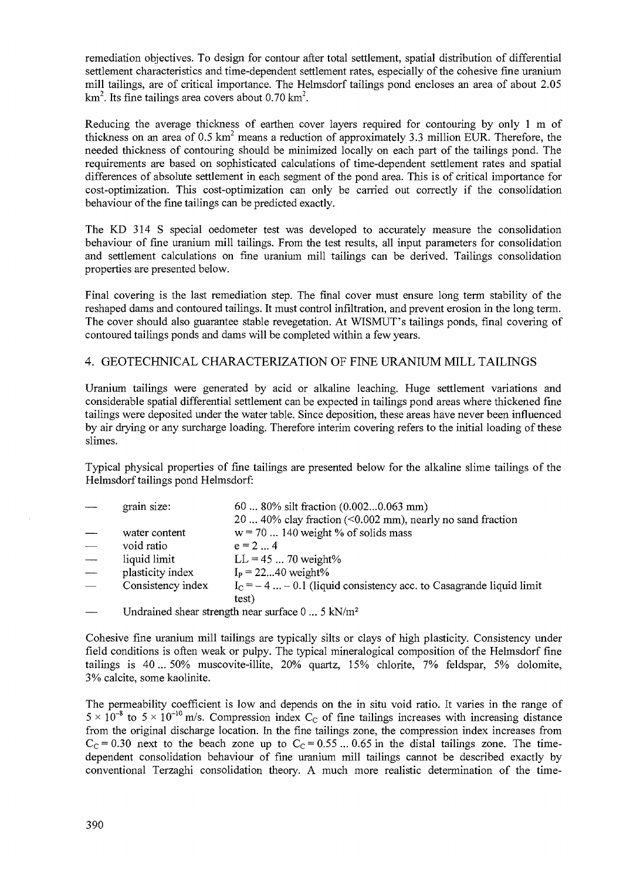remediation objectives. To design for contour after total settlement, spatial distribution of differential settlement characteristics and time-dependent settlement rates, especially of the cohesive fine uranium mill tailings, are of critical importance. The Helmsdorf tailings pond encloses an area of about 2.05 km<sup>2</sup>. Its fine tailings area covers about 0.70 km<sup>2</sup>.

Reducing the average thickness of earthen cover layers required for contouring by only 1 m of thickness on an area of  $0.5 \text{ km}^2$  means a reduction of approximately 3.3 million EUR. Therefore, the needed thickness of contouring should be minimized locally on each part of the tailings pond. The requirements are based on sophisticated calculations of time-dependent settlement rates and spatial differences of absolute settlement in each segment of the pond area. This is of critical importance for cost-optimization. This cost-optimization can only be carried out correctly if the consolidation behaviour of the fine tailings can be predicted exactly.

The KD 314 S special oedometer test was developed to accurately measure the consolidation behaviour of fine uranium mill tailings. From the test results, all input parameters for consolidation and settlement calculations on fine uranium mill tailings can be derived. Tailings consolidation properties are presented below.

Final covering is the last remediation step. The final cover must ensure long term stability of the reshaped dams and contoured tailings. It must control infiltration, and prevent erosion in the long term. The cover should also guarantee stable revegetation. At WISMUT's tailings ponds, final covering of contoured tailings ponds and dams will be completed within a few years.

# 4. GEOTECHNICAL CHARACTERIZATION OF FINE URANIUM MILL TAILINGS

Uranium tailings were generated by acid or alkaline leaching. Huge settlement variations and considerable spatial differential settlement can be expected in tailings pond areas where thickened fine tailings were deposited under the water table. Since deposition, these areas have never been influenced by air drying or any surcharge loading. Therefore interim covering refers to the initial loading of these slimes.

Typical physical properties of fine tailings are presented below for the alkaline slime tailings of the Helmsdorf tailings pond Helmsdorf:

| grain size:       | 60  80% silt fraction (0.0020.063 mm)                                 |
|-------------------|-----------------------------------------------------------------------|
|                   | 20  40% clay fraction (<0.002 mm), nearly no sand fraction            |
| water content     | $w = 70$ 140 weight % of solids mass                                  |
| void ratio        | $e = 24$                                                              |
| liquid limit      | $LL = 45  70$ weight%                                                 |
| plasticity index  | $I_P = 2240$ weight%                                                  |
| Consistency index | $I_c = -4$ $-0.1$ (liquid consistency acc. to Casagrande liquid limit |
|                   | test)                                                                 |
|                   | Undrained shear strength near surface $0 \dots 5$ kN/m <sup>2</sup>   |
|                   |                                                                       |

Cohesive fine uranium mill tailings are typically silts or clays of high plasticity. Consistency under field conditions is often weak or pulpy. The typical mineralogical composition of the Helmsdorf fine tailings is 40... 50% muscovite-illite, 20% quartz, 15% chlorite, 7% feldspar, 5% dolomite, 3% calcite, some kaolinite.

The permeability coefficient is low and depends on the in situ void ratio. It varies in the range of  $5 \times 10^{-8}$  to  $5 \times 10^{-10}$  m/s. Compression index C<sub>C</sub> of fine tailings increases with increasing distance from the original discharge location. In the fine tailings zone, the compression index increases from  $C_c = 0.30$  next to the beach zone up to  $C_c = 0.55$  ... 0.65 in the distal tailings zone. The timedependent consolidation behaviour of fine uranium mill tailings cannot be described exactly by conventional Terzaghi consolidation theory. A much more realistic determination of the time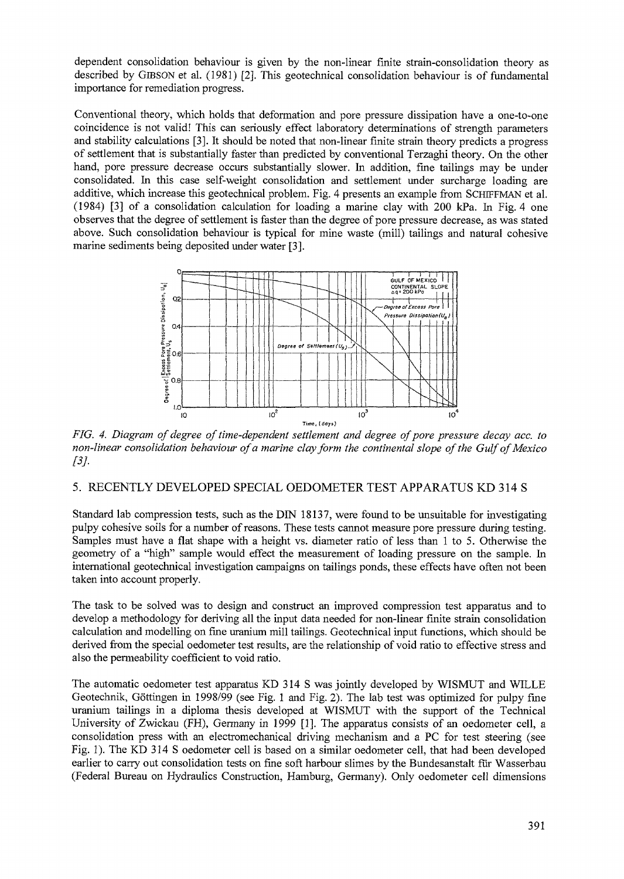dependent consolidation behaviour is given by the non-linear finite strain-consolidation theory as described by GIBSON et al. (1981) [2]. This geotechnical consolidation behaviour is of fundamental importance for remediation progress.

Conventional theory, which holds that deformation and pore pressure dissipation have a one-to-one coincidence is not valid! This can seriously effect laboratory determinations of strength parameters and stability calculations [3]. It should be noted that non-linear finite strain theory predicts a progress of settlement that is substantially faster than predicted by conventional Terzaghi theory. On the other hand, pore pressure decrease occurs substantially slower. In addition, fine tailings may be under consolidated. In this case self-weight consolidation and settlement under surcharge loading are additive, which increase this geotechnical problem. Fig. 4 presents an example from SCHTFFMAN et al. (1984) [3] of a consolidation calculation for loading a marine clay with 200 kPa. In Fig. 4 one observes that the degree of settlement is faster than the degree of pore pressure decrease, as was stated above. Such consolidation behaviour is typical for mine waste (mill) tailings and natural cohesive marine sediments being deposited under water [3].



*FIG. 4. Diagram of degree of time-dependent settlement and degree of pore pressure decay ace. to non-linear consolidation behaviour of a marine clay form the continental slope of the Gulf of Mexico [3].*

#### 5. RECENTLY DEVELOPED SPECIAL OEDOMETER TEST APPARATUS KD 314 S

Standard lab compression tests, such as the DIN 18137, were found to be unsuitable for investigating pulpy cohesive soils for a number of reasons. These tests cannot measure pore pressure during testing. Samples must have a flat shape with a height vs. diameter ratio of less than 1 to 5. Otherwise the geometry of a "high" sample would effect the measurement of loading pressure on the sample. In international geotechnical investigation campaigns on tailings ponds, these effects have often not been taken into account properly.

The task to be solved was to design and construct an improved compression test apparatus and to develop a methodology for deriving all the input data needed for non-linear finite strain consolidation calculation and modelling on fine uranium mill tailings. Geotechnical input functions, which should be derived from the special oedometer test results, are the relationship of void ratio to effective stress and also the permeability coefficient to void ratio.

The automatic oedometer test apparatus KD 314 S was jointly developed by WISMUT and WILLE Geotechnik, Göttingen in 1998/99 (see Fig. 1 and Fig. 2). The lab test was optimized for pulpy fine uranium tailings in a diploma thesis developed at WISMUT with the support of the Technical University of Zwickau (FH), Germany in 1999 [1]. The apparatus consists of an oedometer cell, a consolidation press with an electromechanical driving mechanism and a PC for test steering (see Fig. 1). The KD 314 S oedometer cell is based on a similar oedometer cell, that had been developed earlier to carry out consolidation tests on fine soft harbour slimes by the Bundesanstalt fur Wasserbau (Federal Bureau on Hydraulics Construction, Hamburg, Germany). Only oedometer cell dimensions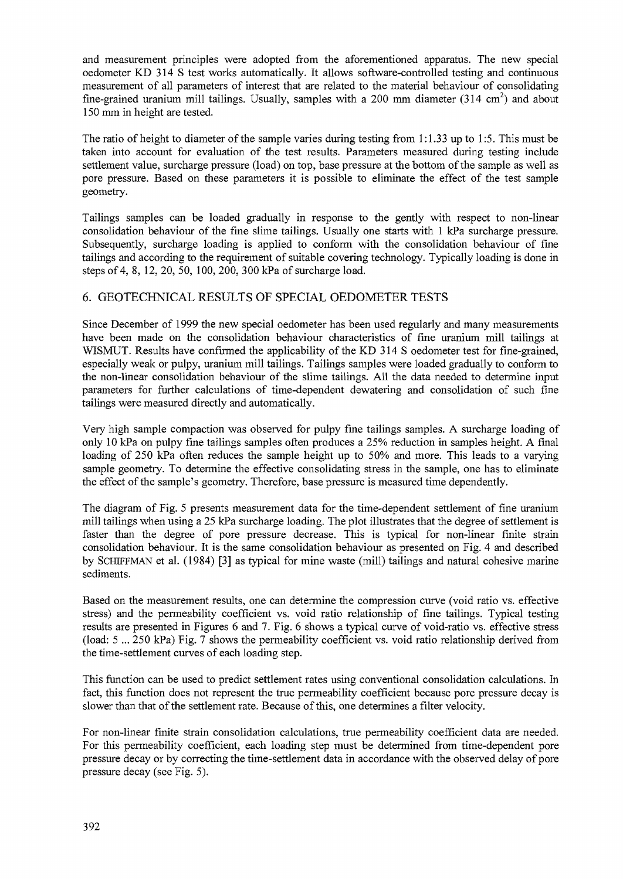and measurement principles were adopted from the aforementioned apparatus. The new special oedometer KD 314 S test works automatically. It allows software-controlled testing and continuous measurement of all parameters of interest that are related to the material behaviour of consolidating fine-grained uranium mill tailings. Usually, samples with a 200 mm diameter (314 cm<sup>2</sup>) and about 150 mm in height are tested.

The ratio of height to diameter of the sample varies during testing from 1:1.33 up to 1:5. This must be taken into account for evaluation of the test results. Parameters measured during testing include settlement value, surcharge pressure (load) on top, base pressure at the bottom of the sample as well as pore pressure. Based on these parameters it is possible to eliminate the effect of the test sample geometry.

Tailings samples can be loaded gradually in response to the gently with respect to non-linear consolidation behaviour of the fine slime tailings. Usually one starts with 1 kPa surcharge pressure. Subsequently, surcharge loading is applied to conform with the consolidation behaviour of fine tailings and according to the requirement of suitable covering technology. Typically loading is done in steps of 4, 8, 12, 20, 50, 100, 200, 300 kPa of surcharge load.

# 6. GEOTECHNICAL RESULTS OF SPECIAL OEDOMETER TESTS

Since December of 1999 the new special oedometer has been used regularly and many measurements have been made on the consolidation behaviour characteristics of fine uranium mill tailings at WISMUT. Results have confirmed the applicability of the KD 314 S oedometer test for fine-grained, especially weak or pulpy, uranium mill tailings. Tailings samples were loaded gradually to conform to the non-linear consolidation behaviour of the slime tailings. All the data needed to determine input parameters for further calculations of time-dependent dewatering and consolidation of such fine tailings were measured directly and automatically.

Very high sample compaction was observed for pulpy fine tailings samples. A surcharge loading of only 10 kPa on pulpy fine tailings samples often produces a 25% reduction in samples height. A final loading of 250 kPa often reduces the sample height up to 50% and more. This leads to a varying sample geometry. To determine the effective consolidating stress in the sample, one has to eliminate the effect of the sample's geometry. Therefore, base pressure is measured time dependently.

The diagram of Fig. 5 presents measurement data for the time-dependent settlement of fine uranium mill tailings when using a 25 kPa surcharge loading. The plot illustrates that the degree of settlement is faster than the degree of pore pressure decrease. This is typical for non-linear finite strain consolidation behaviour. It is the same consolidation behaviour as presented on Fig. 4 and described by SCHIFFMAN et al. (1984) [3] as typical for mine waste (mill) tailings and natural cohesive marine sediments.

Based on the measurement results, one can determine the compression curve (void ratio vs. effective stress) and the permeability coefficient vs. void ratio relationship of fine tailings. Typical testing results are presented in Figures 6 and 7. Fig. 6 shows a typical curve of void-ratio vs. effective stress (load: 5 ... 250 kPa) Fig. 7 shows the permeability coefficient vs. void ratio relationship derived from the time-settlement curves of each loading step.

This function can be used to predict settlement rates using conventional consolidation calculations. In fact, this function does not represent the true permeability coefficient because pore pressure decay is slower than that of the settlement rate. Because of this, one determines a filter velocity.

For non-linear finite strain consolidation calculations, true permeability coefficient data are needed. For this permeability coefficient, each loading step must be determined from time-dependent pore pressure decay or by correcting the time-settlement data in accordance with the observed delay of pore pressure decay (see Fig. 5).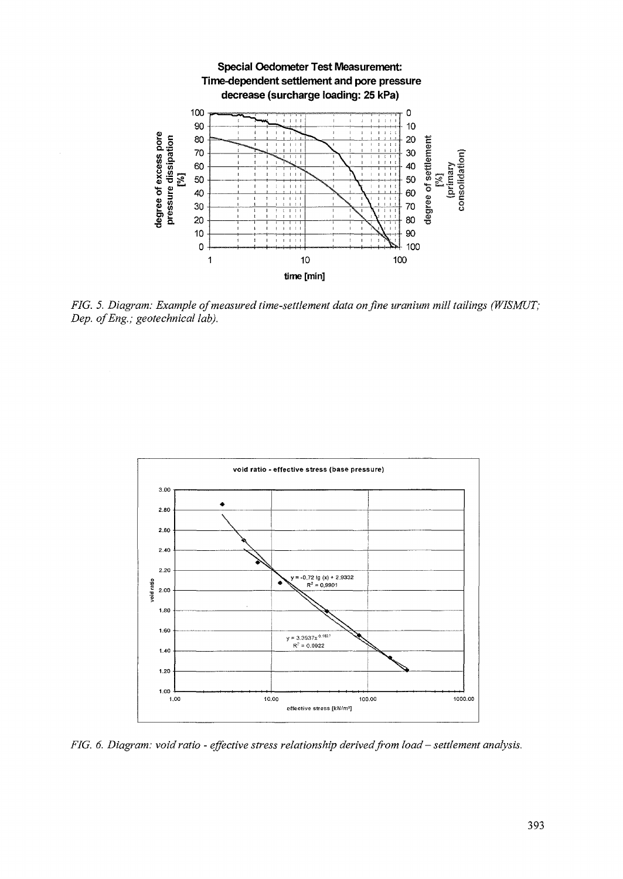

*FIG. 5. Diagram: Example of measured time-settlement data on fine uranium mill tailings (WISMUT; Dep. ofEng.; geotechnical lab).*



*FIG. 6. Diagram: void ratio - effective stress relationship derived from load* - *settlement analysis.*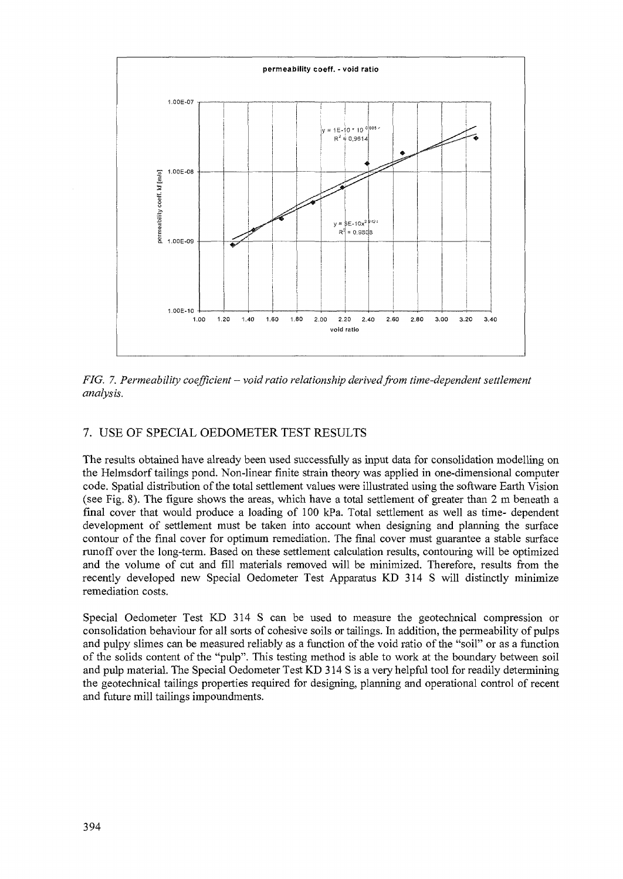

*FIG. 7. Permeability coefficient - void ratio relationship derived from time-dependent settlement analysis.*

# 7. USE OF SPECIAL OEDOMETER TEST RESULTS

The results obtained have already been used successfully as input data for consolidation modelling on the Helmsdorf tailings pond. Non-linear finite strain theory was applied in one-dimensional computer code. Spatial distribution of the total settlement values were illustrated using the software Earth Vision (see Fig. 8). The figure shows the areas, which have a total settlement of greater than 2 m beneath a final cover that would produce a loading of 100 kPa. Total settlement as well as time- dependent development of settlement must be taken into account when designing and planning the surface contour of the final cover for optimum remediation. The final cover must guarantee a stable surface runoff over the long-term. Based on these settlement calculation results, contouring will be optimized and the volume of cut and fill materials removed will be minimized. Therefore, results from the recently developed new Special Oedometer Test Apparatus KD 314 S will distinctly minimize remediation costs.

Special Oedometer Test KD 314 S can be used to measure the geotechnical compression or consolidation behaviour for all sorts of cohesive soils or tailings. In addition, the permeability of pulps and pulpy slimes can be measured reliably as a function of the void ratio of the "soil" or as a function of the solids content of the "pulp". This testing method is able to work at the boundary between soil and pulp material. The Special Oedometer Test KD 314 S is a very helpful tool for readily determining the geotechnical tailings properties required for designing, planning and operational control of recent and future mill tailings impoundments.